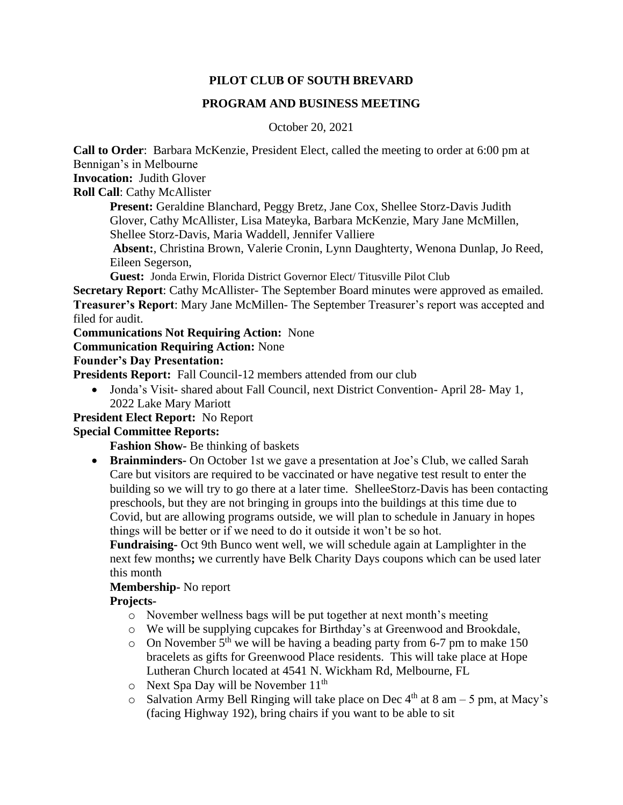## **PILOT CLUB OF SOUTH BREVARD**

## **PROGRAM AND BUSINESS MEETING**

#### October 20, 2021

**Call to Order**: Barbara McKenzie, President Elect, called the meeting to order at 6:00 pm at Bennigan's in Melbourne

**Invocation:** Judith Glover

**Roll Call**: Cathy McAllister

Present: Geraldine Blanchard, Peggy Bretz, Jane Cox, Shellee Storz-Davis Judith Glover, Cathy McAllister, Lisa Mateyka, Barbara McKenzie, Mary Jane McMillen,

Shellee Storz-Davis, Maria Waddell, Jennifer Valliere

**Absent:**, Christina Brown, Valerie Cronin, Lynn Daughterty, Wenona Dunlap, Jo Reed, Eileen Segerson,

**Guest:** Jonda Erwin, Florida District Governor Elect/ Titusville Pilot Club

**Secretary Report**: Cathy McAllister- The September Board minutes were approved as emailed. **Treasurer's Report**: Mary Jane McMillen- The September Treasurer's report was accepted and filed for audit.

**Communications Not Requiring Action:** None

# **Communication Requiring Action:** None

#### **Founder's Day Presentation:**

**Presidents Report:** Fall Council-12 members attended from our club

• Jonda's Visit- shared about Fall Council, next District Convention-April 28- May 1, 2022 Lake Mary Mariott

#### **President Elect Report:** No Report

## **Special Committee Reports:**

**Fashion Show-** Be thinking of baskets

• **Brainminders-** On October 1st we gave a presentation at Joe's Club, we called Sarah Care but visitors are required to be vaccinated or have negative test result to enter the building so we will try to go there at a later time. ShelleeStorz-Davis has been contacting preschools, but they are not bringing in groups into the buildings at this time due to Covid, but are allowing programs outside, we will plan to schedule in January in hopes things will be better or if we need to do it outside it won't be so hot.

**Fundraising-** Oct 9th Bunco went well, we will schedule again at Lamplighter in the next few months**;** we currently have Belk Charity Days coupons which can be used later this month

## **Membership-** No report

## **Projects-**

- o November wellness bags will be put together at next month's meeting
- o We will be supplying cupcakes for Birthday's at Greenwood and Brookdale,
- o On November  $5<sup>th</sup>$  we will be having a beading party from 6-7 pm to make 150 bracelets as gifts for Greenwood Place residents. This will take place at Hope Lutheran Church located at 4541 N. Wickham Rd, Melbourne, FL
- $\circ$  Next Spa Day will be November 11<sup>th</sup>
- $\circ$  Salvation Army Bell Ringing will take place on Dec 4<sup>th</sup> at 8 am 5 pm, at Macy's (facing Highway 192), bring chairs if you want to be able to sit